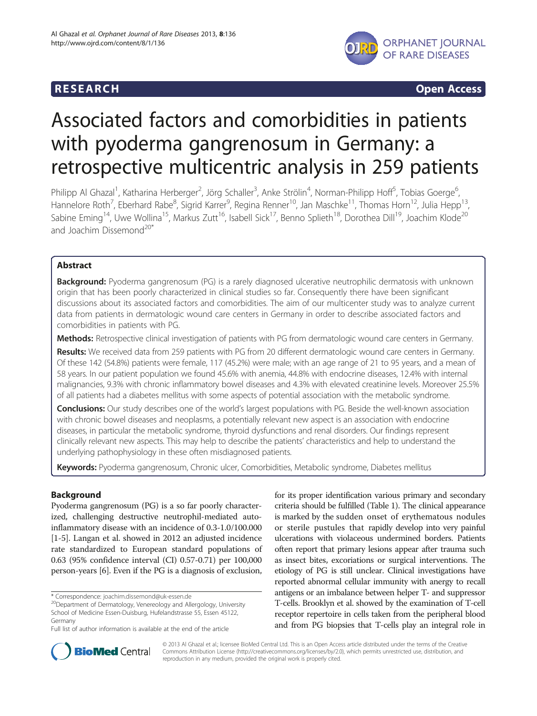

**RESEARCH RESEARCH CONSUMING ACCESS** 

# Associated factors and comorbidities in patients with pyoderma gangrenosum in Germany: a retrospective multicentric analysis in 259 patients

Philipp Al Ghazal<sup>1</sup>, Katharina Herberger<sup>2</sup>, Jörg Schaller<sup>3</sup>, Anke Strölin<sup>4</sup>, Norman-Philipp Hoff<sup>5</sup>, Tobias Goerge<sup>6</sup> , Hannelore Roth<sup>7</sup>, Eberhard Rabe<sup>8</sup>, Sigrid Karrer<sup>9</sup>, Regina Renner<sup>10</sup>, Jan Maschke<sup>11</sup>, Thomas Horn<sup>12</sup>, Julia Hepp<sup>13</sup>, Sabine Eming<sup>14</sup>, Uwe Wollina<sup>15</sup>, Markus Zutt<sup>16</sup>, Isabell Sick<sup>17</sup>, Benno Splieth<sup>18</sup>, Dorothea Dill<sup>19</sup>, Joachim Klode<sup>20</sup> and Joachim Dissemond<sup>20\*</sup>

# Abstract

**Background:** Pyoderma gangrenosum (PG) is a rarely diagnosed ulcerative neutrophilic dermatosis with unknown origin that has been poorly characterized in clinical studies so far. Consequently there have been significant discussions about its associated factors and comorbidities. The aim of our multicenter study was to analyze current data from patients in dermatologic wound care centers in Germany in order to describe associated factors and comorbidities in patients with PG.

Methods: Retrospective clinical investigation of patients with PG from dermatologic wound care centers in Germany.

Results: We received data from 259 patients with PG from 20 different dermatologic wound care centers in Germany. Of these 142 (54.8%) patients were female, 117 (45.2%) were male; with an age range of 21 to 95 years, and a mean of 58 years. In our patient population we found 45.6% with anemia, 44.8% with endocrine diseases, 12.4% with internal malignancies, 9.3% with chronic inflammatory bowel diseases and 4.3% with elevated creatinine levels. Moreover 25.5% of all patients had a diabetes mellitus with some aspects of potential association with the metabolic syndrome.

Conclusions: Our study describes one of the world's largest populations with PG. Beside the well-known association with chronic bowel diseases and neoplasms, a potentially relevant new aspect is an association with endocrine diseases, in particular the metabolic syndrome, thyroid dysfunctions and renal disorders. Our findings represent clinically relevant new aspects. This may help to describe the patients' characteristics and help to understand the underlying pathophysiology in these often misdiagnosed patients.

Keywords: Pyoderma gangrenosum, Chronic ulcer, Comorbidities, Metabolic syndrome, Diabetes mellitus

# Background

Pyoderma gangrenosum (PG) is a so far poorly characterized, challenging destructive neutrophil-mediated autoinflammatory disease with an incidence of 0.3-1.0/100.000 [[1-](#page-7-0)[5\]](#page-8-0). Langan et al. showed in 2012 an adjusted incidence rate standardized to European standard populations of 0.63 (95% confidence interval (CI) 0.57-0.71) per 100,000 person-years [\[6](#page-8-0)]. Even if the PG is a diagnosis of exclusion,

for its proper identification various primary and secondary criteria should be fulfilled (Table [1\)](#page-1-0). The clinical appearance is marked by the sudden onset of erythematous nodules or sterile pustules that rapidly develop into very painful ulcerations with violaceous undermined borders. Patients often report that primary lesions appear after trauma such as insect bites, excoriations or surgical interventions. The etiology of PG is still unclear. Clinical investigations have reported abnormal cellular immunity with anergy to recall antigens or an imbalance between helper T- and suppressor T-cells. Brooklyn et al. showed by the examination of T-cell receptor repertoire in cells taken from the peripheral blood and from PG biopsies that T-cells play an integral role in



© 2013 Al Ghazal et al.; licensee BioMed Central Ltd. This is an Open Access article distributed under the terms of the Creative Commons Attribution License [\(http://creativecommons.org/licenses/by/2.0\)](http://creativecommons.org/licenses/by/2.0), which permits unrestricted use, distribution, and reproduction in any medium, provided the original work is properly cited.

<sup>\*</sup> Correspondence: [joachim.dissemond@uk-essen.de](mailto:joachim.dissemond@uk-essen.de) 20Department of Dermatology, Venereology and Allergology, University School of Medicine Essen-Duisburg, Hufelandstrasse 55, Essen 45122, Germany

Full list of author information is available at the end of the article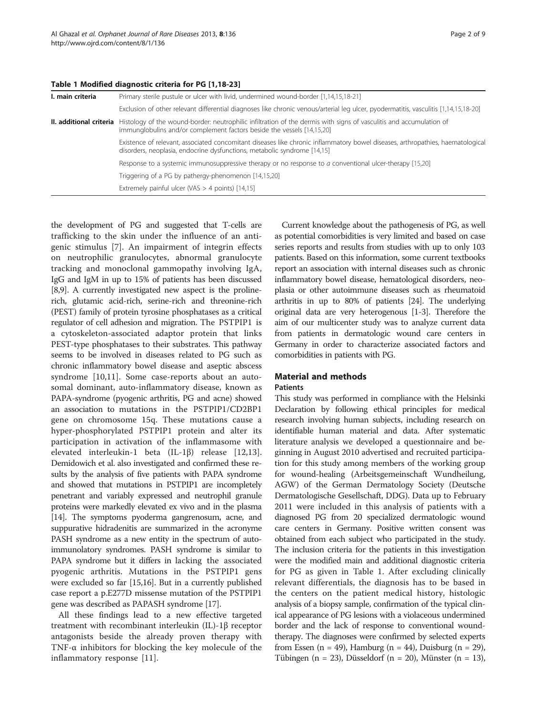#### <span id="page-1-0"></span>Table 1 Modified diagnostic criteria for PG [\[1](#page-7-0)[,18-23\]](#page-8-0)

| Primary sterile pustule or ulcer with livid, undermined wound-border [1,14,15,18-21]<br>I. main criteria |                                                                                                                                                                                                                              |  |  |  |  |
|----------------------------------------------------------------------------------------------------------|------------------------------------------------------------------------------------------------------------------------------------------------------------------------------------------------------------------------------|--|--|--|--|
|                                                                                                          | Exclusion of other relevant differential diagnoses like chronic venous/arterial leg ulcer, pyodermatitis, vasculitis [1,14,15,18-20]                                                                                         |  |  |  |  |
|                                                                                                          | <b>II. additional criteria</b> Histology of the wound-border: neutrophilic infiltration of the dermis with signs of vasculitis and accumulation of<br>immunglobulins and/or complement factors beside the vessels [14,15,20] |  |  |  |  |
|                                                                                                          | Existence of relevant, associated concomitant diseases like chronic inflammatory bowel diseases, arthropathies, haematological<br>disorders, neoplasia, endocrine dysfunctions, metabolic syndrome [14,15]                   |  |  |  |  |
|                                                                                                          | Response to a systemic immunosuppressive therapy or no response to a conventional ulcer-therapy [15,20]                                                                                                                      |  |  |  |  |
|                                                                                                          | Triggering of a PG by pathergy-phenomenon [14,15,20]                                                                                                                                                                         |  |  |  |  |
|                                                                                                          | Extremely painful ulcer (VAS $>$ 4 points) [14,15]                                                                                                                                                                           |  |  |  |  |
|                                                                                                          |                                                                                                                                                                                                                              |  |  |  |  |

the development of PG and suggested that T-cells are trafficking to the skin under the influence of an antigenic stimulus [[7](#page-8-0)]. An impairment of integrin effects on neutrophilic granulocytes, abnormal granulocyte tracking and monoclonal gammopathy involving IgA, IgG and IgM in up to 15% of patients has been discussed [[8,9](#page-8-0)]. A currently investigated new aspect is the prolinerich, glutamic acid-rich, serine-rich and threonine-rich (PEST) family of protein tyrosine phosphatases as a critical regulator of cell adhesion and migration. The PSTPIP1 is a cytoskeleton-associated adaptor protein that links PEST-type phosphatases to their substrates. This pathway seems to be involved in diseases related to PG such as chronic inflammatory bowel disease and aseptic abscess syndrome [\[10,11\]](#page-8-0). Some case-reports about an autosomal dominant, auto-inflammatory disease, known as PAPA-syndrome (pyogenic arthritis, PG and acne) showed an association to mutations in the PSTPIP1/CD2BP1 gene on chromosome 15q. These mutations cause a hyper-phosphorylated PSTPIP1 protein and alter its participation in activation of the inflammasome with elevated interleukin-1 beta (IL-1β) release [[12,13](#page-8-0)]. Demidowich et al. also investigated and confirmed these results by the analysis of five patients with PAPA syndrome and showed that mutations in PSTPIP1 are incompletely penetrant and variably expressed and neutrophil granule proteins were markedly elevated ex vivo and in the plasma [[14](#page-8-0)]. The symptoms pyoderma gangrenosum, acne, and suppurative hidradenitis are summarized in the acronyme PASH syndrome as a new entity in the spectrum of autoimmunolatory syndromes. PASH syndrome is similar to PAPA syndrome but it differs in lacking the associated pyogenic arthritis. Mutations in the PSTPIP1 gens were excluded so far [[15,16\]](#page-8-0). But in a currently published case report a p.E277D missense mutation of the PSTPIP1 gene was described as PAPASH syndrome [[17](#page-8-0)].

All these findings lead to a new effective targeted treatment with recombinant interleukin (IL)-1β receptor antagonists beside the already proven therapy with TNF- $\alpha$  inhibitors for blocking the key molecule of the inflammatory response [\[11](#page-8-0)].

Current knowledge about the pathogenesis of PG, as well as potential comorbidities is very limited and based on case series reports and results from studies with up to only 103 patients. Based on this information, some current textbooks report an association with internal diseases such as chronic inflammatory bowel disease, hematological disorders, neoplasia or other autoimmune diseases such as rheumatoid arthritis in up to 80% of patients [\[24](#page-8-0)]. The underlying original data are very heterogenous [[1](#page-7-0)-[3](#page-7-0)]. Therefore the aim of our multicenter study was to analyze current data from patients in dermatologic wound care centers in Germany in order to characterize associated factors and comorbidities in patients with PG.

#### Material and methods

# Patients

This study was performed in compliance with the Helsinki Declaration by following ethical principles for medical research involving human subjects, including research on identifiable human material and data. After systematic literature analysis we developed a questionnaire and beginning in August 2010 advertised and recruited participation for this study among members of the working group for wound-healing (Arbeitsgemeinschaft Wundheilung, AGW) of the German Dermatology Society (Deutsche Dermatologische Gesellschaft, DDG). Data up to February 2011 were included in this analysis of patients with a diagnosed PG from 20 specialized dermatologic wound care centers in Germany. Positive written consent was obtained from each subject who participated in the study. The inclusion criteria for the patients in this investigation were the modified main and additional diagnostic criteria for PG as given in Table 1. After excluding clinically relevant differentials, the diagnosis has to be based in the centers on the patient medical history, histologic analysis of a biopsy sample, confirmation of the typical clinical appearance of PG lesions with a violaceous undermined border and the lack of response to conventional woundtherapy. The diagnoses were confirmed by selected experts from Essen (n = 49), Hamburg (n = 44), Duisburg (n = 29), Tübingen (n = 23), Düsseldorf (n = 20), Münster (n = 13),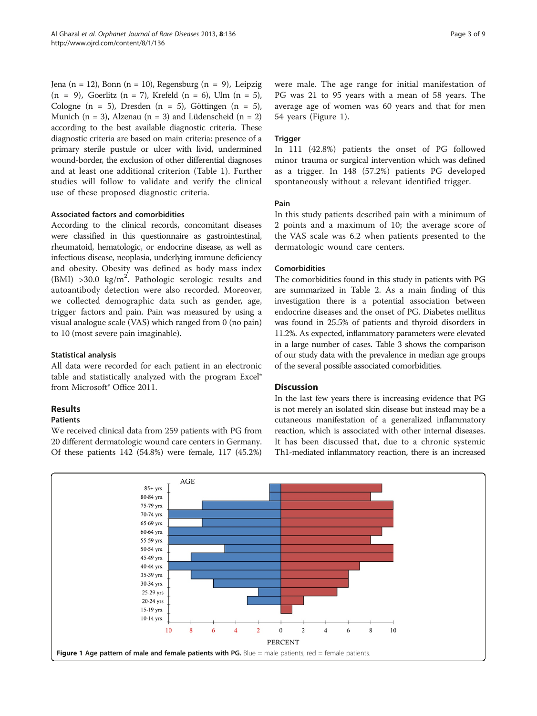Jena (n = 12), Bonn (n = 10), Regensburg (n = 9), Leipzig  $(n = 9)$ , Goerlitz  $(n = 7)$ , Krefeld  $(n = 6)$ , Ulm  $(n = 5)$ , Cologne (n = 5), Dresden (n = 5), Göttingen (n = 5), Munich (n = 3), Alzenau (n = 3) and Lüdenscheid (n = 2) according to the best available diagnostic criteria. These diagnostic criteria are based on main criteria: presence of a primary sterile pustule or ulcer with livid, undermined wound-border, the exclusion of other differential diagnoses and at least one additional criterion (Table [1\)](#page-1-0). Further studies will follow to validate and verify the clinical use of these proposed diagnostic criteria.

# Associated factors and comorbidities

According to the clinical records, concomitant diseases were classified in this questionnaire as gastrointestinal, rheumatoid, hematologic, or endocrine disease, as well as infectious disease, neoplasia, underlying immune deficiency and obesity. Obesity was defined as body mass index (BMI) >30.0  $\text{kg/m}^2$ . Pathologic serologic results and autoantibody detection were also recorded. Moreover, we collected demographic data such as gender, age, trigger factors and pain. Pain was measured by using a visual analogue scale (VAS) which ranged from 0 (no pain) to 10 (most severe pain imaginable).

# Statistical analysis

All data were recorded for each patient in an electronic table and statistically analyzed with the program Excel® from Microsoft® Office 2011.

# Results

# Patients

We received clinical data from 259 patients with PG from 20 different dermatologic wound care centers in Germany. Of these patients 142 (54.8%) were female, 117 (45.2%)

were male. The age range for initial manifestation of PG was 21 to 95 years with a mean of 58 years. The average age of women was 60 years and that for men 54 years (Figure 1).

# **Trigger**

In 111 (42.8%) patients the onset of PG followed minor trauma or surgical intervention which was defined as a trigger. In 148 (57.2%) patients PG developed spontaneously without a relevant identified trigger.

# Pain

In this study patients described pain with a minimum of 2 points and a maximum of 10; the average score of the VAS scale was 6.2 when patients presented to the dermatologic wound care centers.

# Comorbidities

The comorbidities found in this study in patients with PG are summarized in Table [2.](#page-3-0) As a main finding of this investigation there is a potential association between endocrine diseases and the onset of PG. Diabetes mellitus was found in 25.5% of patients and thyroid disorders in 11.2%. As expected, inflammatory parameters were elevated in a large number of cases. Table [3](#page-4-0) shows the comparison of our study data with the prevalence in median age groups of the several possible associated comorbidities.

# **Discussion**

In the last few years there is increasing evidence that PG is not merely an isolated skin disease but instead may be a cutaneous manifestation of a generalized inflammatory reaction, which is associated with other internal diseases. It has been discussed that, due to a chronic systemic Th1-mediated inflammatory reaction, there is an increased

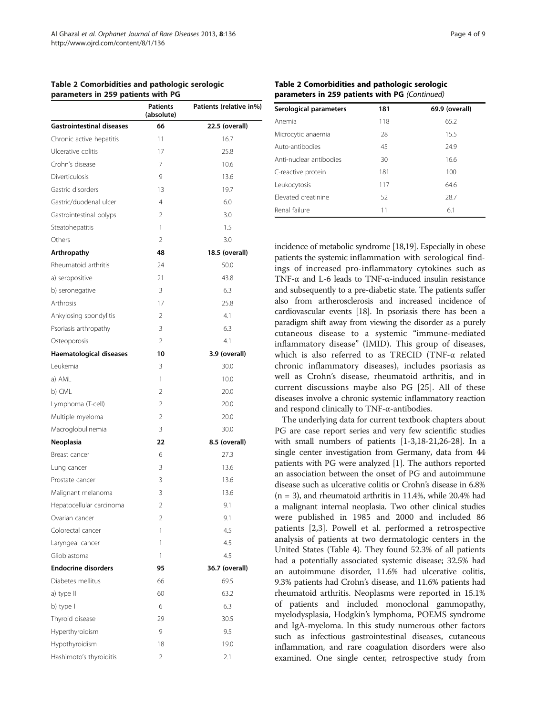<span id="page-3-0"></span>

| Table 2 Comorbidities and pathologic serologic |  |  |
|------------------------------------------------|--|--|
| parameters in 259 patients with PG             |  |  |

|                                  | Patients<br>(absolute) | Patients (relative in%) |
|----------------------------------|------------------------|-------------------------|
| <b>Gastrointestinal diseases</b> | 66                     | 22.5 (overall)          |
| Chronic active hepatitis         | 11                     | 16.7                    |
| Ulcerative colitis               | 17                     | 25.8                    |
| Crohn's disease                  | 7                      | 10.6                    |
| Diverticulosis                   | 9                      | 13.6                    |
| Gastric disorders                | 13                     | 19.7                    |
| Gastric/duodenal ulcer           | 4                      | 6.0                     |
| Gastrointestinal polyps          | 2                      | 3.0                     |
| Steatohepatitis                  | 1                      | 1.5                     |
| Others                           | 2                      | 3.0                     |
| Arthropathy                      | 48                     | 18.5 (overall)          |
| Rheumatoid arthritis             | 24                     | 50.0                    |
| a) seropositive                  | 21                     | 43.8                    |
| b) seronegative                  | 3                      | 6.3                     |
| Arthrosis                        | 17                     | 25.8                    |
| Ankylosing spondylitis           | 2                      | 4.1                     |
| Psoriasis arthropathy            | 3                      | 6.3                     |
| Osteoporosis                     | 2                      | 4.1                     |
| Haematological diseases          | 10                     | 3.9 (overall)           |
| Leukemia                         | 3                      | 30.0                    |
| a) AML                           | 1                      | 10.0                    |
| b) CML                           | 2                      | 20.0                    |
| Lymphoma (T-cell)                | 2                      | 20.0                    |
| Multiple myeloma                 | 2                      | 20.0                    |
| Macroglobulinemia                | 3                      | 30.0                    |
| Neoplasia                        | 22                     | 8.5 (overall)           |
| Breast cancer                    | 6                      | 27.3                    |
| Lung cancer                      | 3                      | 13.6                    |
| Prostate cancer                  | 3                      | 13.6                    |
| Malignant melanoma               | 3                      | 13.6                    |
| Hepatocellular carcinoma         | $\overline{c}$         | 9.1                     |
| Ovarian cancer                   | 2                      | 9.1                     |
| Colorectal cancer                | 1                      | 4.5                     |
| Laryngeal cancer                 | 1                      | 4.5                     |
| Glioblastoma                     | 1                      | 4.5                     |
| <b>Endocrine disorders</b>       | 95                     | 36.7 (overall)          |
| Diabetes mellitus                | 66                     | 69.5                    |
| a) type II                       | 60                     | 63.2                    |
| b) type I                        | 6                      | 6.3                     |
| Thyroid disease                  | 29                     | 30.5                    |
| Hyperthyroidism                  | 9                      | 9.5                     |
| Hypothyroidism                   | 18                     | 19.0                    |
| Hashimoto's thyroiditis          | 2                      | 2.1                     |

Table 2 Comorbidities and pathologic serologic parameters in 259 patients with PG (Continued)

| Serological parameters  | 181 | 69.9 (overall) |
|-------------------------|-----|----------------|
| Anemia                  | 118 | 65.2           |
| Microcytic anaemia      | 28  | 15.5           |
| Auto-antibodies         | 45  | 24.9           |
| Anti-nuclear antibodies | 30  | 16.6           |
| C-reactive protein      | 181 | 100            |
| Leukocytosis            | 117 | 646            |
| Flevated creatinine     | 52  | 28.7           |
| Renal failure           | 11  | 6.1            |

incidence of metabolic syndrome [\[18,19](#page-8-0)]. Especially in obese patients the systemic inflammation with serological findings of increased pro-inflammatory cytokines such as TNF-α and L-6 leads to TNF-α-induced insulin resistance and subsequently to a pre-diabetic state. The patients suffer also from artherosclerosis and increased incidence of cardiovascular events [[18](#page-8-0)]. In psoriasis there has been a paradigm shift away from viewing the disorder as a purely cutaneous disease to a systemic "immune-mediated inflammatory disease" (IMID). This group of diseases, which is also referred to as TRECID (TNF-α related chronic inflammatory diseases), includes psoriasis as well as Crohn's disease, rheumatoid arthritis, and in current discussions maybe also PG [\[25](#page-8-0)]. All of these diseases involve a chronic systemic inflammatory reaction and respond clinically to TNF-α-antibodies.

The underlying data for current textbook chapters about PG are case report series and very few scientific studies with small numbers of patients [\[1](#page-7-0)-[3](#page-7-0)[,18](#page-8-0)-[21,26-28](#page-8-0)]. In a single center investigation from Germany, data from 44 patients with PG were analyzed [[1\]](#page-7-0). The authors reported an association between the onset of PG and autoimmune disease such as ulcerative colitis or Crohn's disease in 6.8%  $(n = 3)$ , and rheumatoid arthritis in 11.4%, while 20.4% had a malignant internal neoplasia. Two other clinical studies were published in 1985 and 2000 and included 86 patients [[2,3](#page-7-0)]. Powell et al. performed a retrospective analysis of patients at two dermatologic centers in the United States (Table [4](#page-5-0)). They found 52.3% of all patients had a potentially associated systemic disease; 32.5% had an autoimmune disorder, 11.6% had ulcerative colitis, 9.3% patients had Crohn's disease, and 11.6% patients had rheumatoid arthritis. Neoplasms were reported in 15.1% of patients and included monoclonal gammopathy, myelodysplasia, Hodgkin's lymphoma, POEMS syndrome and IgA-myeloma. In this study numerous other factors such as infectious gastrointestinal diseases, cutaneous inflammation, and rare coagulation disorders were also examined. One single center, retrospective study from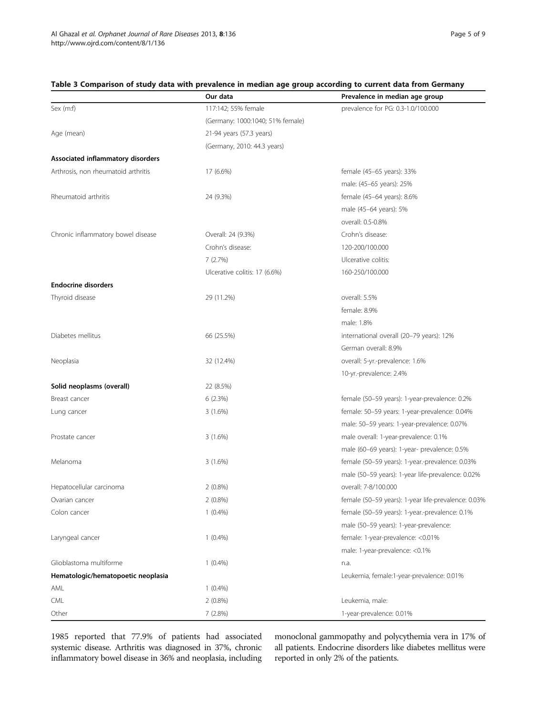|                                     | Our data                         | Prevalence in median age group                      |
|-------------------------------------|----------------------------------|-----------------------------------------------------|
| Sex (m:f)                           | 117:142; 55% female              | prevalence for PG: 0.3-1.0/100.000                  |
|                                     | (Germany: 1000:1040; 51% female) |                                                     |
| Age (mean)                          | 21-94 years (57.3 years)         |                                                     |
|                                     | (Germany, 2010: 44.3 years)      |                                                     |
| Associated inflammatory disorders   |                                  |                                                     |
| Arthrosis, non rheumatoid arthritis | 17 (6.6%)                        | female (45–65 years): 33%                           |
|                                     |                                  | male: (45-65 years): 25%                            |
| Rheumatoid arthritis                | 24 (9.3%)                        | female (45-64 years): 8.6%                          |
|                                     |                                  | male (45-64 years): 5%                              |
|                                     |                                  | overall: 0.5-0.8%                                   |
| Chronic inflammatory bowel disease  | Overall: 24 (9.3%)               | Crohn's disease:                                    |
|                                     | Crohn's disease:                 | 120-200/100.000                                     |
|                                     | 7(2.7%)                          | Ulcerative colitis:                                 |
|                                     | Ulcerative colitis: 17 (6.6%)    | 160-250/100.000                                     |
| <b>Endocrine disorders</b>          |                                  |                                                     |
| Thyroid disease                     | 29 (11.2%)                       | overall: 5.5%                                       |
|                                     |                                  | female: 8.9%                                        |
|                                     |                                  | male: 1.8%                                          |
| Diabetes mellitus                   | 66 (25.5%)                       | international overall (20-79 years): 12%            |
|                                     |                                  | German overall: 8.9%                                |
| Neoplasia                           | 32 (12.4%)                       | overall: 5-yr.-prevalence: 1.6%                     |
|                                     |                                  | 10-yr.-prevalence: 2.4%                             |
| Solid neoplasms (overall)           | 22 (8.5%)                        |                                                     |
| Breast cancer                       | 6(2.3%)                          | female (50-59 years): 1-year-prevalence: 0.2%       |
| Lung cancer                         | 3(1.6%)                          | female: 50-59 years: 1-year-prevalence: 0.04%       |
|                                     |                                  | male: 50-59 years: 1-year-prevalence: 0.07%         |
| Prostate cancer                     | 3(1.6%)                          | male overall: 1-year-prevalence: 0.1%               |
|                                     |                                  | male (60-69 years): 1-year- prevalence: 0.5%        |
| Melanoma                            | 3(1.6%)                          | female (50-59 years): 1-year.-prevalence: 0.03%     |
|                                     |                                  | male (50-59 years): 1-year life-prevalence: 0.02%   |
| Hepatocellular carcinoma            | $2(0.8\%)$                       | overall: 7-8/100.000                                |
| Ovarian cancer                      | $2(0.8\%)$                       | female (50-59 years): 1-year life-prevalence: 0.03% |
| Colon cancer                        | $1(0.4\%)$                       | female (50-59 years): 1-year.-prevalence: 0.1%      |
|                                     |                                  | male (50-59 years): 1-year-prevalence:              |
| Laryngeal cancer                    | $1(0.4\%)$                       | female: 1-year-prevalence: <0.01%                   |
|                                     |                                  | male: 1-year-prevalence: <0.1%                      |
| Glioblastoma multiforme             | $1(0.4\%)$                       | n.a.                                                |
| Hematologic/hematopoetic neoplasia  |                                  | Leukemia, female:1-year-prevalence: 0.01%           |
| AML                                 | $1(0.4\%)$                       |                                                     |
| <b>CML</b>                          | $2(0.8\%)$                       | Leukemia, male:                                     |
| Other                               | 7 (2.8%)                         | 1-year-prevalence: 0.01%                            |

# <span id="page-4-0"></span>Table 3 Comparison of study data with prevalence in median age group according to current data from Germany

1985 reported that 77.9% of patients had associated systemic disease. Arthritis was diagnosed in 37%, chronic inflammatory bowel disease in 36% and neoplasia, including monoclonal gammopathy and polycythemia vera in 17% of all patients. Endocrine disorders like diabetes mellitus were reported in only 2% of the patients.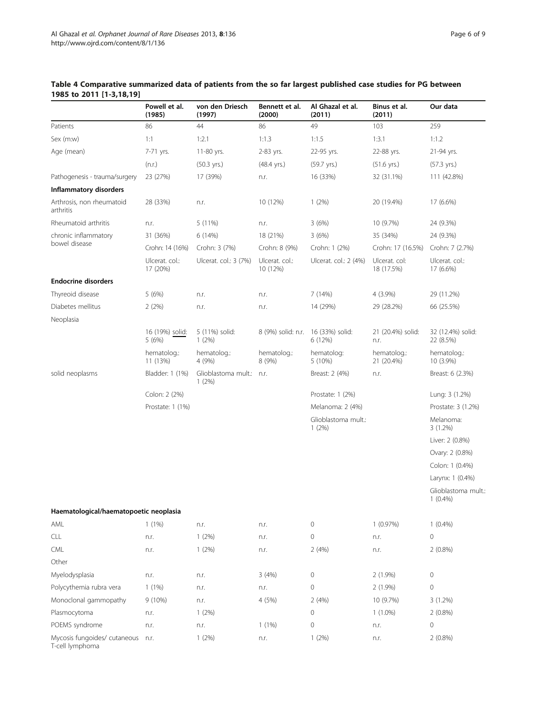|                                                      | Powell et al.<br>(1985)    | von den Driesch<br>(1997)    | Bennett et al.<br>(2000)           | Al Ghazal et al.<br>(2011)   | Binus et al.<br>(2011)      | Our data                          |
|------------------------------------------------------|----------------------------|------------------------------|------------------------------------|------------------------------|-----------------------------|-----------------------------------|
| Patients                                             | 86                         | 44                           | 86                                 | 49                           | 103                         | 259                               |
| Sex (m:w)                                            | 1:1                        | 1:2.1                        | 1:1.3                              | 1:1.5                        | 1:3.1                       | 1:1.2                             |
| Age (mean)                                           | 7-71 yrs.                  | 11-80 yrs.                   | 2-83 yrs.                          | 22-95 yrs.                   | 22-88 yrs.                  | 21-94 yrs.                        |
|                                                      | (n.r.)                     | $(50.3 \text{ yrs.})$        | $(48.4 \text{ yrs.})$              | (59.7 yrs.)                  | $(51.6 \text{ yrs.})$       | $(57.3 \text{ yrs.})$             |
| Pathogenesis - trauma/surgery                        | 23 (27%)                   | 17 (39%)                     | n.r.                               | 16 (33%)                     | 32 (31.1%)                  | 111 (42.8%)                       |
| Inflammatory disorders                               |                            |                              |                                    |                              |                             |                                   |
| Arthrosis, non rheumatoid<br>arthritis               | 28 (33%)                   | n.r.                         | 10 (12%)                           | 1(2%)                        | 20 (19.4%)                  | 17 (6.6%)                         |
| Rheumatoid arthritis                                 | n.r.                       | 5 (11%)                      | n.r.                               | 3(6%)                        | 10 (9.7%)                   | 24 (9.3%)                         |
| chronic inflammatory                                 | 31 (36%)                   | 6 (14%)                      | 18 (21%)                           | 3(6%)                        | 35 (34%)                    | 24 (9.3%)                         |
| bowel disease                                        | Crohn: 14 (16%)            | Crohn: 3 (7%)                | Crohn: 8 (9%)                      | Crohn: 1 (2%)                | Crohn: 17 (16.5%)           | Crohn: 7 (2.7%)                   |
|                                                      | Ulcerat. col.:<br>17 (20%) | Ulcerat. col.: 3 (7%)        | Ulcerat. col.:<br>10 (12%)         | Ulcerat. col.: 2 (4%)        | Ulcerat. col:<br>18 (17.5%) | Ulcerat. col.:<br>17 (6.6%)       |
| <b>Endocrine disorders</b>                           |                            |                              |                                    |                              |                             |                                   |
| Thyreoid disease                                     | 5(6%)                      | n.r.                         | n.r.                               | 7 (14%)                      | 4 (3.9%)                    | 29 (11.2%)                        |
| Diabetes mellitus                                    | 2(2%)                      | n.r.                         | n.r.                               | 14 (29%)                     | 29 (28.2%)                  | 66 (25.5%)                        |
| Neoplasia                                            |                            |                              |                                    |                              |                             |                                   |
|                                                      | 16 (19%) solid:<br>5(6%)   | 5 (11%) solid:<br>1(2%)      | 8 (9%) solid: n.r. 16 (33%) solid: | 6 (12%)                      | 21 (20.4%) solid:<br>n.r.   | 32 (12.4%) solid:<br>22 (8.5%)    |
|                                                      | hematolog.:<br>11 (13%)    | hematolog.:<br>4 (9%)        | hematolog.:<br>8 (9%)              | hematolog:<br>5 (10%)        | hematolog.:<br>21 (20.4%)   | hematolog.:<br>10 (3.9%)          |
| solid neoplasms                                      | Bladder: 1 (1%)            | Glioblastoma mult.:<br>1(2%) | n.r.                               | Breast: 2 (4%)               | n.r.                        | Breast: 6 (2.3%)                  |
|                                                      | Colon: 2 (2%)              |                              |                                    | Prostate: 1 (2%)             |                             | Lung: 3 (1.2%)                    |
|                                                      | Prostate: 1 (1%)           |                              |                                    | Melanoma: 2 (4%)             |                             | Prostate: 3 (1.2%)                |
|                                                      |                            |                              |                                    | Glioblastoma mult.:<br>1(2%) |                             | Melanoma:<br>$3(1.2\%)$           |
|                                                      |                            |                              |                                    |                              |                             | Liver: 2 (0.8%)                   |
|                                                      |                            |                              |                                    |                              |                             | Ovary: 2 (0.8%)                   |
|                                                      |                            |                              |                                    |                              |                             | Colon: 1 (0.4%)                   |
|                                                      |                            |                              |                                    |                              |                             | Larynx: 1 (0.4%)                  |
|                                                      |                            |                              |                                    |                              |                             | Glioblastoma mult.:<br>$1(0.4\%)$ |
| Haematological/haematopoetic neoplasia               |                            |                              |                                    |                              |                             |                                   |
| AML                                                  | $1(1\%)$                   | n.r.                         | n.r.                               | 0                            | 1(0.97%)                    | $1(0.4\%)$                        |
| <b>CLL</b>                                           | n.r.                       | 1(2%)                        | n.r.                               | 0                            | n.r.                        | $\mathbf 0$                       |
| CML                                                  | n.r.                       | 1(2%)                        | n.r.                               | 2(4%)                        | n.r.                        | $2(0.8\%)$                        |
| Other                                                |                            |                              |                                    |                              |                             |                                   |
| Myelodysplasia                                       | n.r.                       | n.r.                         | 3(4%)                              | 0                            | $2(1.9\%)$                  | $\mathbb O$                       |
| Polycythemia rubra vera                              | $1(1\%)$                   | n.r.                         | n.r.                               | 0                            | 2 (1.9%)                    | $\mathbf 0$                       |
| Monoclonal gammopathy                                | $9(10\%)$                  | n.r.                         | 4 (5%)                             | 2(4%)                        | 10 (9.7%)                   | $3(1.2\%)$                        |
| Plasmocytoma                                         | n.r.                       | 1(2%)                        |                                    | 0                            | $1(1.0\%)$                  | $2(0.8\%)$                        |
| POEMS syndrome                                       | n.r.                       | n.r.                         | 1(1%)                              | 0                            | n.r.                        | 0                                 |
| Mycosis fungoides/ cutaneous n.r.<br>T-cell lymphoma |                            | 1(2%)                        | n.r.                               | 1(2%)                        | n.r.                        | $2(0.8\%)$                        |

# <span id="page-5-0"></span>Table 4 Comparative summarized data of patients from the so far largest published case studies for PG between 1985 to 2011 [[1-3](#page-7-0),[18,19\]](#page-8-0)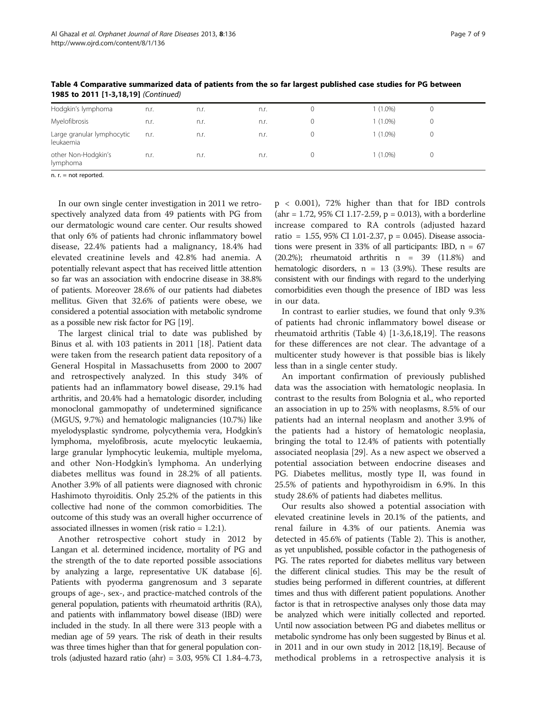|                                         | --   |      |      |           |  |
|-----------------------------------------|------|------|------|-----------|--|
| Hodgkin's lymphoma                      | n.r. | n.r. | n.r. | $(1.0\%)$ |  |
| Myelofibrosis                           | n.r. | n.r. | n.r. | $(1.0\%)$ |  |
| Large granular lymphocytic<br>leukaemia | n.r. | n.r. | n.r. | $(1.0\%)$ |  |
| other Non-Hodgkin's<br>lymphoma         | n.r. | n.r. | n.r. | $(1.0\%)$ |  |

Table 4 Comparative summarized data of patients from the so far largest published case studies for PG between 1985 to 2011 [[1-3](#page-7-0).18.19] (Continued)

 $n. r. = not reported$ 

In our own single center investigation in 2011 we retrospectively analyzed data from 49 patients with PG from our dermatologic wound care center. Our results showed that only 6% of patients had chronic inflammatory bowel disease, 22.4% patients had a malignancy, 18.4% had elevated creatinine levels and 42.8% had anemia. A potentially relevant aspect that has received little attention so far was an association with endocrine disease in 38.8% of patients. Moreover 28.6% of our patients had diabetes mellitus. Given that 32.6% of patients were obese, we considered a potential association with metabolic syndrome as a possible new risk factor for PG [\[19\]](#page-8-0).

The largest clinical trial to date was published by Binus et al. with 103 patients in 2011 [\[18\]](#page-8-0). Patient data were taken from the research patient data repository of a General Hospital in Massachusetts from 2000 to 2007 and retrospectively analyzed. In this study 34% of patients had an inflammatory bowel disease, 29.1% had arthritis, and 20.4% had a hematologic disorder, including monoclonal gammopathy of undetermined significance (MGUS, 9.7%) and hematologic malignancies (10.7%) like myelodysplastic syndrome, polycythemia vera, Hodgkin's lymphoma, myelofibrosis, acute myelocytic leukaemia, large granular lymphocytic leukemia, multiple myeloma, and other Non-Hodgkin's lymphoma. An underlying diabetes mellitus was found in 28.2% of all patients. Another 3.9% of all patients were diagnosed with chronic Hashimoto thyroiditis. Only 25.2% of the patients in this collective had none of the common comorbidities. The outcome of this study was an overall higher occurrence of associated illnesses in women (risk ratio = 1.2:1).

Another retrospective cohort study in 2012 by Langan et al. determined incidence, mortality of PG and the strength of the to date reported possible associations by analyzing a large, representative UK database [[6](#page-8-0)]. Patients with pyoderma gangrenosum and 3 separate groups of age-, sex-, and practice-matched controls of the general population, patients with rheumatoid arthritis (RA), and patients with inflammatory bowel disease (IBD) were included in the study. In all there were 313 people with a median age of 59 years. The risk of death in their results was three times higher than that for general population controls (adjusted hazard ratio (ahr) =  $3.03$ ,  $95\%$  CI 1.84-4.73, p < 0.001), 72% higher than that for IBD controls  $(\text{ahr} = 1.72, 95\% \text{ CI } 1.17 - 2.59, \text{ p} = 0.013)$ , with a borderline increase compared to RA controls (adjusted hazard ratio = 1.55, 95% CI 1.01-2.37,  $p = 0.045$ ). Disease associations were present in 33% of all participants: IBD,  $n = 67$ (20.2%); rheumatoid arthritis n = 39 (11.8%) and hematologic disorders,  $n = 13$  (3.9%). These results are consistent with our findings with regard to the underlying comorbidities even though the presence of IBD was less in our data.

In contrast to earlier studies, we found that only 9.3% of patients had chronic inflammatory bowel disease or rheumatoid arthritis (Table [4](#page-5-0)) [\[1-3](#page-7-0),[6](#page-8-0),[18](#page-8-0),[19](#page-8-0)]. The reasons for these differences are not clear. The advantage of a multicenter study however is that possible bias is likely less than in a single center study.

An important confirmation of previously published data was the association with hematologic neoplasia. In contrast to the results from Bolognia et al., who reported an association in up to 25% with neoplasms, 8.5% of our patients had an internal neoplasm and another 3.9% of the patients had a history of hematologic neoplasia, bringing the total to 12.4% of patients with potentially associated neoplasia [\[29\]](#page-8-0). As a new aspect we observed a potential association between endocrine diseases and PG. Diabetes mellitus, mostly type II, was found in 25.5% of patients and hypothyroidism in 6.9%. In this study 28.6% of patients had diabetes mellitus.

Our results also showed a potential association with elevated creatinine levels in 20.1% of the patients, and renal failure in 4.3% of our patients. Anemia was detected in 45.6% of patients (Table [2](#page-3-0)). This is another, as yet unpublished, possible cofactor in the pathogenesis of PG. The rates reported for diabetes mellitus vary between the different clinical studies. This may be the result of studies being performed in different countries, at different times and thus with different patient populations. Another factor is that in retrospective analyses only those data may be analyzed which were initially collected and reported. Until now association between PG and diabetes mellitus or metabolic syndrome has only been suggested by Binus et al. in 2011 and in our own study in 2012 [[18,19](#page-8-0)]. Because of methodical problems in a retrospective analysis it is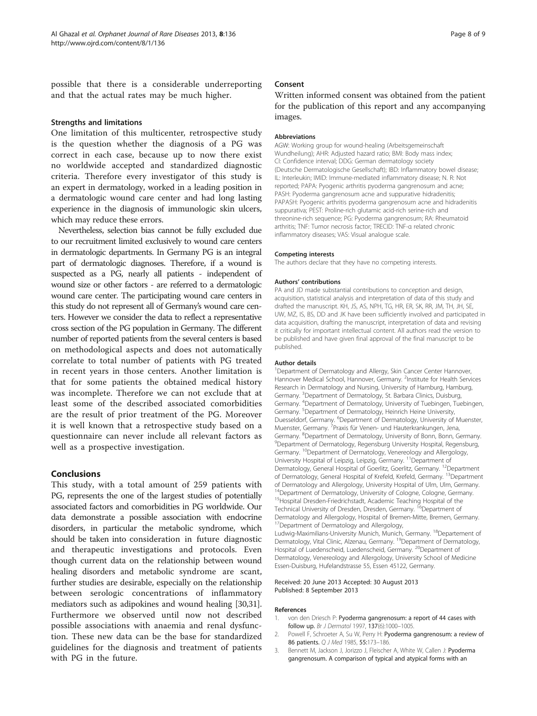<span id="page-7-0"></span>possible that there is a considerable underreporting and that the actual rates may be much higher.

#### Strengths and limitations

One limitation of this multicenter, retrospective study is the question whether the diagnosis of a PG was correct in each case, because up to now there exist no worldwide accepted and standardized diagnostic criteria. Therefore every investigator of this study is an expert in dermatology, worked in a leading position in a dermatologic wound care center and had long lasting experience in the diagnosis of immunologic skin ulcers, which may reduce these errors.

Nevertheless, selection bias cannot be fully excluded due to our recruitment limited exclusively to wound care centers in dermatologic departments. In Germany PG is an integral part of dermatologic diagnoses. Therefore, if a wound is suspected as a PG, nearly all patients - independent of wound size or other factors - are referred to a dermatologic wound care center. The participating wound care centers in this study do not represent all of Germany's wound care centers. However we consider the data to reflect a representative cross section of the PG population in Germany. The different number of reported patients from the several centers is based on methodological aspects and does not automatically correlate to total number of patients with PG treated in recent years in those centers. Another limitation is that for some patients the obtained medical history was incomplete. Therefore we can not exclude that at least some of the described associated comorbidities are the result of prior treatment of the PG. Moreover it is well known that a retrospective study based on a questionnaire can never include all relevant factors as well as a prospective investigation.

#### Conclusions

This study, with a total amount of 259 patients with PG, represents the one of the largest studies of potentially associated factors and comorbidities in PG worldwide. Our data demonstrate a possible association with endocrine disorders, in particular the metabolic syndrome, which should be taken into consideration in future diagnostic and therapeutic investigations and protocols. Even though current data on the relationship between wound healing disorders and metabolic syndrome are scant, further studies are desirable, especially on the relationship between serologic concentrations of inflammatory mediators such as adipokines and wound healing [\[30,31](#page-8-0)]. Furthermore we observed until now not described possible associations with anaemia and renal dysfunction. These new data can be the base for standardized guidelines for the diagnosis and treatment of patients with PG in the future.

#### Consent

Written informed consent was obtained from the patient for the publication of this report and any accompanying images.

#### **Abbreviations**

AGW: Working group for wound-healing (Arbeitsgemeinschaft Wundheilung); AHR: Adjusted hazard ratio; BMI: Body mass index; CI: Confidence interval; DDG: German dermatology society (Deutsche Dermatologische Gesellschaft); IBD: Inflammatory bowel disease; IL: Interleukin; IMID: Immune-mediated inflammatory disease; N. R: Not reported; PAPA: Pyogenic arthritis pyoderma gangrenosum and acne; PASH: Pyoderma gangrenosum acne and suppurative hidradenitis; PAPASH: Pyogenic arthritis pyoderma gangrenosum acne and hidradenitis suppurativa; PEST: Proline-rich glutamic acid-rich serine-rich and threonine-rich sequence; PG: Pyoderma gangrenosum; RA: Rheumatoid arthritis; TNF: Tumor necrosis factor; TRECID: TNF-α related chronic inflammatory diseases; VAS: Visual analogue scale.

#### Competing interests

The authors declare that they have no competing interests.

#### Authors' contributions

PA and JD made substantial contributions to conception and design, acquisition, statistical analysis and interpretation of data of this study and drafted the manuscript. KH, JS, AS, NPH, TG, HR, ER, SK, RR, JM, TH, JH, SE, UW, MZ, IS, BS, DD and JK have been sufficiently involved and participated in data acquisition, drafting the manuscript, interpretation of data and revising it critically for important intellectual content. All authors read the version to be published and have given final approval of the final manuscript to be published.

#### Author details

<sup>1</sup>Department of Dermatology and Allergy, Skin Cancer Center Hannover, Hannover Medical School, Hannover, Germany. <sup>2</sup>Institute for Health Services Research in Dermatology and Nursing, University of Hamburg, Hamburg, Germany. <sup>3</sup>Department of Dermatology, St. Barbara Clinics, Duisburg, Germany. <sup>4</sup>Department of Dermatology, University of Tuebingen, Tuebingen, Germany. <sup>5</sup>Department of Dermatology, Heinrich Heine University Duesseldorf, Germany. <sup>6</sup>Department of Dermatology, University of Muenster Muenster, Germany. <sup>7</sup> Praxis für Venen- und Hauterkrankungen, Jena, Germany. <sup>8</sup>Department of Dermatology, University of Bonn, Bonn, Germany.<br><sup>9</sup>Department of Dermatology, Begensburg University Hospital, Begensburg. <sup>9</sup> Department of Dermatology, Regensburg University Hospital, Regensburg, Germany. 10Department of Dermatology, Venereology and Allergology, University Hospital of Leipzig, Leipzig, Germany. <sup>11</sup>Department of Dermatology, General Hospital of Goerlitz, Goerlitz, Germany. <sup>12</sup>Department of Dermatology, General Hospital of Krefeld, Krefeld, Germany. 13Department of Dermatology and Allergology, University Hospital of Ulm, Ulm, Germany. <sup>14</sup>Department of Dermatology, University of Cologne, Cologne, Germany. <sup>15</sup>Hospital Dresden-Friedrichstadt, Academic Teaching Hospital of the Technical University of Dresden, Dresden, Germany. <sup>16</sup>Department of Dermatology and Allergology, Hospital of Bremen-Mitte, Bremen, Germany. <sup>17</sup>Department of Dermatology and Allergology,

Ludwig-Maximilians-University Munich, Munich, Germany. 18Departement of Dermatology, Vital Clinic, Alzenau, Germany. <sup>19</sup>Department of Dermatology, Hospital of Luedenscheid, Luedenscheid, Germany. <sup>20</sup>Department of Dermatology, Venereology and Allergology, University School of Medicine Essen-Duisburg, Hufelandstrasse 55, Essen 45122, Germany.

#### Received: 20 June 2013 Accepted: 30 August 2013 Published: 8 September 2013

#### References

- 1. von den Driesch P: Pyoderma gangrenosum: a report of 44 cases with follow up. Br J Dermatol 1997, 137(6):1000–1005.
- 2. Powell F, Schroeter A, Su W, Perry H: Pyoderma gangrenosum: a review of 86 patients. Q J Med 1985, 55:173-186.
- 3. Bennett M, Jackson J, Jorizzo J, Fleischer A, White W, Callen J: Pyoderma gangrenosum. A comparison of typical and atypical forms with an